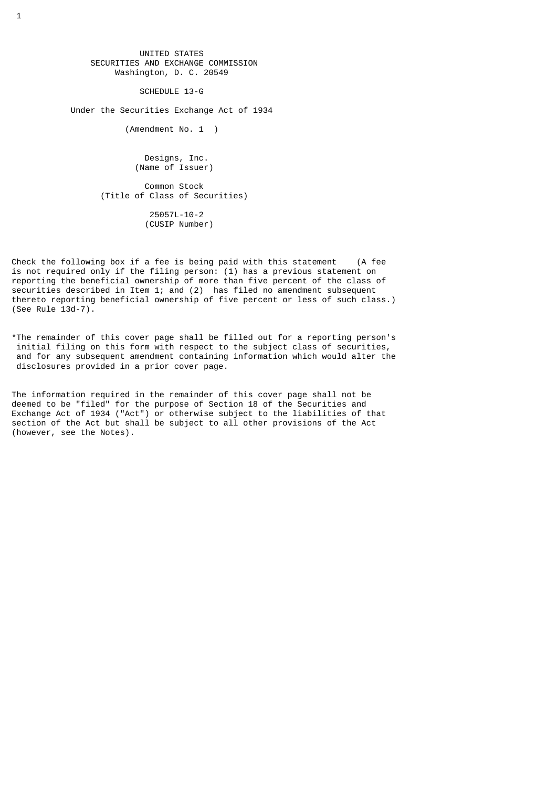UNITED STATES SECURITIES AND EXCHANGE COMMISSION Washington, D. C. 20549

SCHEDULE 13-G

Under the Securities Exchange Act of 1934

(Amendment No. 1 )

 Designs, Inc. (Name of Issuer)

 Common Stock (Title of Class of Securities) 25057L-10-2 (CUSIP Number)

Check the following box if a fee is being paid with this statement (A fee is not required only if the filing person: (1) has a previous statement on reporting the beneficial ownership of more than five percent of the class of securities described in Item 1; and (2) has filed no amendment subsequent thereto reporting beneficial ownership of five percent or less of such class.) (See Rule 13d-7).

\*The remainder of this cover page shall be filled out for a reporting person's initial filing on this form with respect to the subject class of securities, and for any subsequent amendment containing information which would alter the disclosures provided in a prior cover page.

The information required in the remainder of this cover page shall not be deemed to be "filed" for the purpose of Section 18 of the Securities and Exchange Act of 1934 ("Act") or otherwise subject to the liabilities of that section of the Act but shall be subject to all other provisions of the Act (however, see the Notes).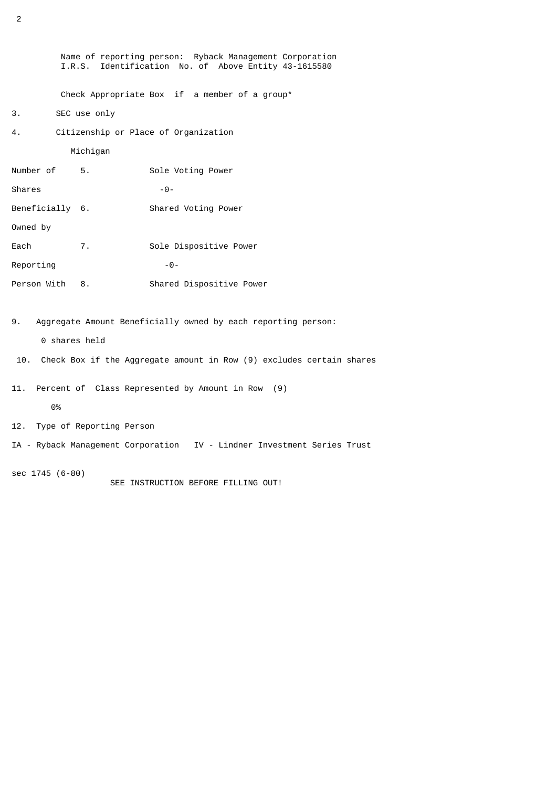Name of reporting person: Ryback Management Corporation I.R.S. Identification No. of Above Entity 43-1615580 Check Appropriate Box if a member of a group\* 3. SEC use only 4. Citizenship or Place of Organization Michigan Number of 5. Sole Voting Power Shares -0-Beneficially 6. Shared Voting Power Owned by Each 7. Sole Dispositive Power  $Reporting$   $-0-$ Person With 8. Shared Dispositive Power

9. Aggregate Amount Beneficially owned by each reporting person:

0 shares held

- 10. Check Box if the Aggregate amount in Row (9) excludes certain shares
- 11. Percent of Class Represented by Amount in Row (9)

0%

- 12. Type of Reporting Person
- IA Ryback Management Corporation IV Lindner Investment Series Trust

sec 1745 (6-80) SEE INSTRUCTION BEFORE FILLING OUT!

2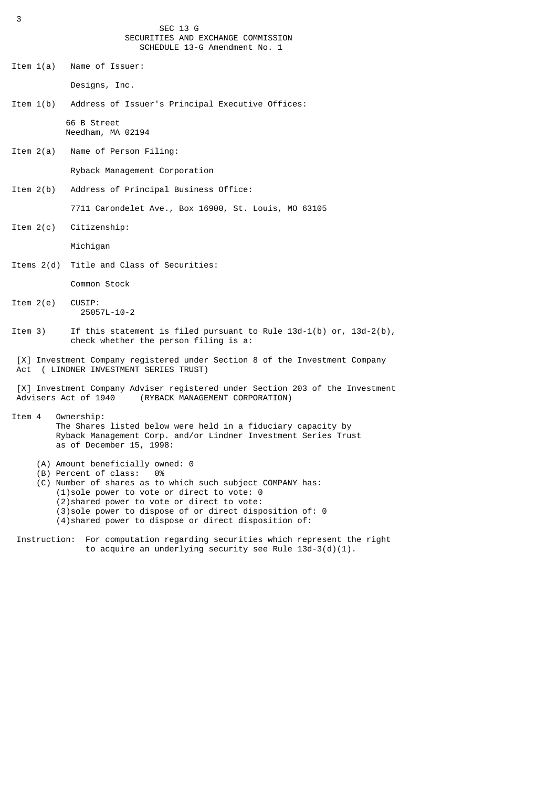SEC 13 G SECURITIES AND EXCHANGE COMMISSION SCHEDULE 13-G Amendment No. 1

Item 1(a) Name of Issuer:

Designs, Inc.

- Item 1(b) Address of Issuer's Principal Executive Offices: 66 B Street Needham, MA 02194
- Item 2(a) Name of Person Filing:

Ryback Management Corporation

Item 2(b) Address of Principal Business Office:

7711 Carondelet Ave., Box 16900, St. Louis, MO 63105

Item 2(c) Citizenship:

Michigan

Items 2(d) Title and Class of Securities:

Common Stock

- Item 2(e) CUSIP: 25057L-10-2
- Item 3) If this statement is filed pursuant to Rule 13d-1(b) or, 13d-2(b), check whether the person filing is a:
- [X] Investment Company registered under Section 8 of the Investment Company Act ( LINDNER INVESTMENT SERIES TRUST)
- [X] Investment Company Adviser registered under Section 203 of the Investment<br>Advisers Act of 1940 (RYBACK MANAGEMENT CORPORATION) (RYBACK MANAGEMENT CORPORATION)
- Item 4 Ownership: The Shares listed below were held in a fiduciary capacity by Ryback Management Corp. and/or Lindner Investment Series Trust as of December 15, 1998:
	- (A) Amount beneficially owned: 0<br>(B) Percent of class:  $\theta$ %
	- (B) Percent of class:
	- (C) Number of shares as to which such subject COMPANY has: (1)sole power to vote or direct to vote: 0 (2)shared power to vote or direct to vote: (3)sole power to dispose of or direct disposition of: 0
		- (4)shared power to dispose or direct disposition of:
- Instruction: For computation regarding securities which represent the right to acquire an underlying security see Rule 13d-3(d)(1).